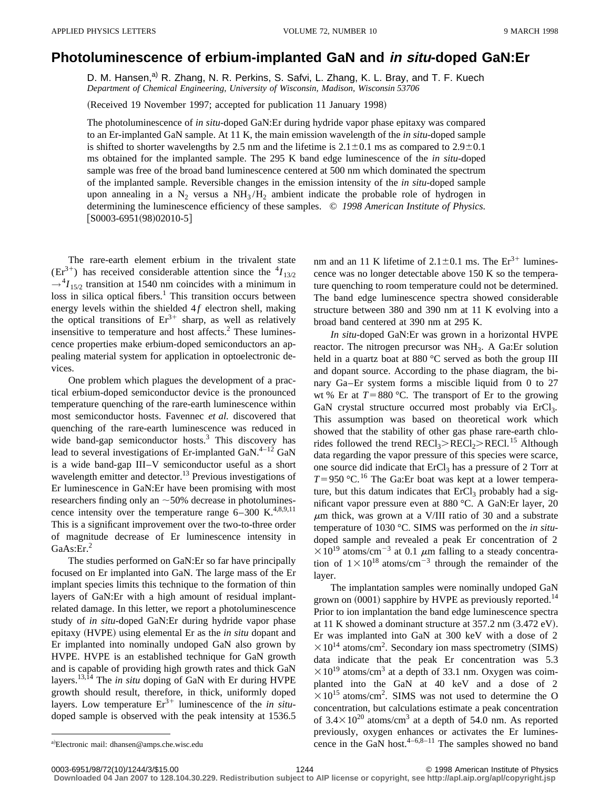## **Photoluminescence of erbium-implanted GaN and in situ-doped GaN:Er**

D. M. Hansen,<sup>a)</sup> R. Zhang, N. R. Perkins, S. Safvi, L. Zhang, K. L. Bray, and T. F. Kuech *Department of Chemical Engineering, University of Wisconsin, Madison, Wisconsin 53706*

(Received 19 November 1997; accepted for publication 11 January 1998)

The photoluminescence of *in situ*-doped GaN:Er during hydride vapor phase epitaxy was compared to an Er-implanted GaN sample. At 11 K, the main emission wavelength of the *in situ*-doped sample is shifted to shorter wavelengths by 2.5 nm and the lifetime is  $2.1 \pm 0.1$  ms as compared to  $2.9 \pm 0.1$ ms obtained for the implanted sample. The 295 K band edge luminescence of the *in situ*-doped sample was free of the broad band luminescence centered at 500 nm which dominated the spectrum of the implanted sample. Reversible changes in the emission intensity of the *in situ*-doped sample upon annealing in a  $N_2$  versus a  $NH_3/H_2$  ambient indicate the probable role of hydrogen in determining the luminescence efficiency of these samples. © *1998 American Institute of Physics.*  $[50003-6951(98)02010-5]$ 

The rare-earth element erbium in the trivalent state  $(Er^{3+})$  has received considerable attention since the  $^{4}I_{13/2}$  $\rightarrow$ <sup>4</sup>*I*<sub>15/2</sub> transition at 1540 nm coincides with a minimum in  $\log s$  in silica optical fibers.<sup>1</sup> This transition occurs between energy levels within the shielded 4f electron shell, making the optical transitions of  $Er^{3+}$  sharp, as well as relatively insensitive to temperature and host affects.<sup>2</sup> These luminescence properties make erbium-doped semiconductors an appealing material system for application in optoelectronic devices.

One problem which plagues the development of a practical erbium-doped semiconductor device is the pronounced temperature quenching of the rare-earth luminescence within most semiconductor hosts. Favennec *et al.* discovered that quenching of the rare-earth luminescence was reduced in wide band-gap semiconductor hosts.<sup>3</sup> This discovery has lead to several investigations of Er-implanted GaN.<sup>4-12</sup> GaN is a wide band-gap III–V semiconductor useful as a short wavelength emitter and detector.<sup>13</sup> Previous investigations of Er luminescence in GaN:Er have been promising with most researchers finding only an  $\sim$  50% decrease in photoluminescence intensity over the temperature range  $6-300$  K.<sup>4,8,9,11</sup> This is a significant improvement over the two-to-three order of magnitude decrease of Er luminescence intensity in GaAs:Er.<sup>2</sup>

The studies performed on GaN:Er so far have principally focused on Er implanted into GaN. The large mass of the Er implant species limits this technique to the formation of thin layers of GaN:Er with a high amount of residual implantrelated damage. In this letter, we report a photoluminescence study of *in situ*-doped GaN:Er during hydride vapor phase epitaxy (HVPE) using elemental Er as the *in situ* dopant and Er implanted into nominally undoped GaN also grown by HVPE. HVPE is an established technique for GaN growth and is capable of providing high growth rates and thick GaN layers.13,14 The *in situ* doping of GaN with Er during HVPE growth should result, therefore, in thick, uniformly doped layers. Low temperature  $Er^{3+}$  luminescence of the *in situ*doped sample is observed with the peak intensity at 1536.5 nm and an 11 K lifetime of  $2.1 \pm 0.1$  ms. The Er<sup>3+</sup> luminescence was no longer detectable above 150 K so the temperature quenching to room temperature could not be determined. The band edge luminescence spectra showed considerable structure between 380 and 390 nm at 11 K evolving into a broad band centered at 390 nm at 295 K.

*In situ*-doped GaN:Er was grown in a horizontal HVPE reactor. The nitrogen precursor was NH<sub>3</sub>. A Ga:Er solution held in a quartz boat at 880 °C served as both the group III and dopant source. According to the phase diagram, the binary Ga–Er system forms a miscible liquid from 0 to 27 wt % Er at  $T=880$  °C. The transport of Er to the growing GaN crystal structure occurred most probably via ErCl<sub>3</sub>. This assumption was based on theoretical work which showed that the stability of other gas phase rare-earth chlorides followed the trend  $RECl<sub>3</sub> > RECl<sub>2</sub> > RECl<sub>1</sub><sup>15</sup>$  Although data regarding the vapor pressure of this species were scarce, one source did indicate that ErCl<sub>3</sub> has a pressure of 2 Torr at  $T=950$  °C.<sup>16</sup> The Ga:Er boat was kept at a lower temperature, but this datum indicates that  $ErCl<sub>3</sub>$  probably had a significant vapor pressure even at 880 °C. A GaN:Er layer, 20  $\mu$ m thick, was grown at a V/III ratio of 30 and a substrate temperature of 1030 °C. SIMS was performed on the *in situ*doped sample and revealed a peak Er concentration of 2  $\times 10^{19}$  atoms/cm<sup>-3</sup> at 0.1  $\mu$ m falling to a steady concentration of  $1\times10^{18}$  atoms/cm<sup>-3</sup> through the remainder of the layer.

The implantation samples were nominally undoped GaN grown on  $(0001)$  sapphire by HVPE as previously reported.<sup>14</sup> Prior to ion implantation the band edge luminescence spectra at 11 K showed a dominant structure at  $357.2$  nm  $(3.472 \text{ eV})$ . Er was implanted into GaN at 300 keV with a dose of 2  $\times 10^{14}$  atoms/cm<sup>2</sup>. Secondary ion mass spectrometry (SIMS) data indicate that the peak Er concentration was 5.3  $\times 10^{19}$  atoms/cm<sup>3</sup> at a depth of 33.1 nm. Oxygen was coimplanted into the GaN at 40 keV and a dose of 2  $\times 10^{15}$  atoms/cm<sup>2</sup>. SIMS was not used to determine the O concentration, but calculations estimate a peak concentration of  $3.4\times10^{20}$  atoms/cm<sup>3</sup> at a depth of 54.0 nm. As reported previously, oxygen enhances or activates the Er luminescence in the GaN host. $4-6,8-11$  The samples showed no band

**Downloaded 04 Jan 2007 to 128.104.30.229. Redistribution subject to AIP license or copyright, see http://apl.aip.org/apl/copyright.jsp**

a)Electronic mail: dhansen@amps.che.wisc.edu

<sup>0003-6951/98/72(10)/1244/3/\$15.00 1998 1998</sup> American Institute of Physics 1244 C 1998 American Institute of Physics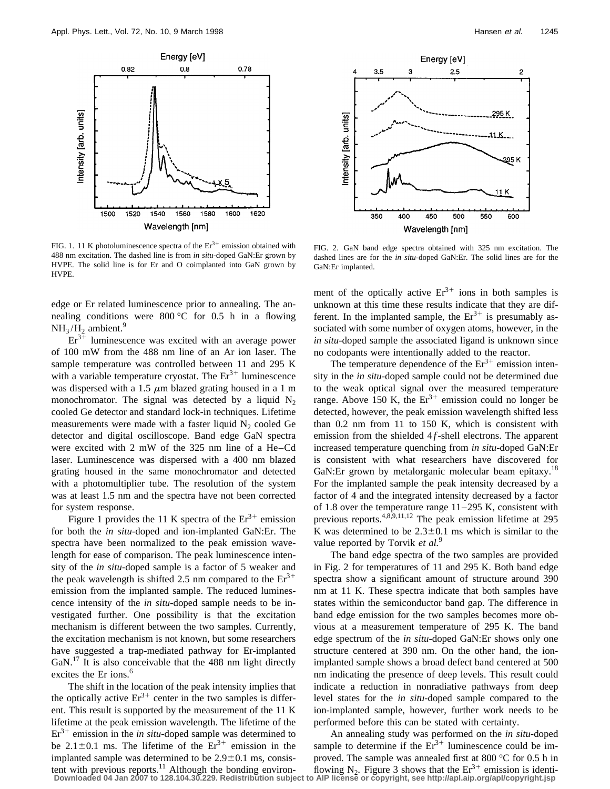

FIG. 1. 11 K photoluminescence spectra of the  $Er^{3+}$  emission obtained with 488 nm excitation. The dashed line is from *in situ*-doped GaN:Er grown by HVPE. The solid line is for Er and O coimplanted into GaN grown by HVPE.

edge or Er related luminescence prior to annealing. The annealing conditions were  $800\,^{\circ}\text{C}$  for 0.5 h in a flowing  $NH<sub>3</sub>/H<sub>2</sub>$  ambient.<sup>9</sup>

 $Er<sup>3+</sup>$  luminescence was excited with an average power of 100 mW from the 488 nm line of an Ar ion laser. The sample temperature was controlled between 11 and 295 K with a variable temperature cryostat. The  $Er<sup>3+</sup>$  luminescence was dispersed with a 1.5  $\mu$ m blazed grating housed in a 1 m monochromator. The signal was detected by a liquid  $N_2$ cooled Ge detector and standard lock-in techniques. Lifetime measurements were made with a faster liquid  $N_2$  cooled Ge detector and digital oscilloscope. Band edge GaN spectra were excited with 2 mW of the 325 nm line of a He–Cd laser. Luminescence was dispersed with a 400 nm blazed grating housed in the same monochromator and detected with a photomultiplier tube. The resolution of the system was at least 1.5 nm and the spectra have not been corrected for system response.

Figure 1 provides the 11 K spectra of the  $Er^{3+}$  emission for both the *in situ*-doped and ion-implanted GaN:Er. The spectra have been normalized to the peak emission wavelength for ease of comparison. The peak luminescence intensity of the *in situ*-doped sample is a factor of 5 weaker and the peak wavelength is shifted 2.5 nm compared to the  $Er<sup>3+</sup>$ emission from the implanted sample. The reduced luminescence intensity of the *in situ*-doped sample needs to be investigated further. One possibility is that the excitation mechanism is different between the two samples. Currently, the excitation mechanism is not known, but some researchers have suggested a trap-mediated pathway for Er-implanted GaN.<sup>17</sup> It is also conceivable that the 488 nm light directly excites the Er ions.<sup>6</sup>

The shift in the location of the peak intensity implies that the optically active  $Er^{3+}$  center in the two samples is different. This result is supported by the measurement of the 11 K lifetime at the peak emission wavelength. The lifetime of the  $Er<sup>3+</sup>$  emission in the *in situ*-doped sample was determined to be 2.1 $\pm$ 0.1 ms. The lifetime of the  $Er^{3+}$  emission in the implanted sample was determined to be  $2.9\pm0.1$  ms, consistent with previous reports.<sup>11</sup> Although the bonding environ-<br>Downloaded 04 Jan 2007 to 128.104.30.229. Redistribution subject to AIP license or copyright, see http://apl.aip.org/apl/copyright.jsp



FIG. 2. GaN band edge spectra obtained with 325 nm excitation. The dashed lines are for the *in situ*-doped GaN:Er. The solid lines are for the GaN:Er implanted.

ment of the optically active  $Er^{3+}$  ions in both samples is unknown at this time these results indicate that they are different. In the implanted sample, the  $Er^{3+}$  is presumably associated with some number of oxygen atoms, however, in the *in situ*-doped sample the associated ligand is unknown since no codopants were intentionally added to the reactor.

The temperature dependence of the  $Er^{3+}$  emission intensity in the *in situ*-doped sample could not be determined due to the weak optical signal over the measured temperature range. Above 150 K, the  $Er^{3+}$  emission could no longer be detected, however, the peak emission wavelength shifted less than 0.2 nm from 11 to 150 K, which is consistent with emission from the shielded 4*f*-shell electrons. The apparent increased temperature quenching from *in situ*-doped GaN:Er is consistent with what researchers have discovered for GaN:Er grown by metalorganic molecular beam epitaxy.<sup>18</sup> For the implanted sample the peak intensity decreased by a factor of 4 and the integrated intensity decreased by a factor of 1.8 over the temperature range 11–295 K, consistent with previous reports.4,8,9,11,12 The peak emission lifetime at 295 K was determined to be  $2.3 \pm 0.1$  ms which is similar to the value reported by Torvik *et al.*<sup>9</sup>

The band edge spectra of the two samples are provided in Fig. 2 for temperatures of 11 and 295 K. Both band edge spectra show a significant amount of structure around 390 nm at 11 K. These spectra indicate that both samples have states within the semiconductor band gap. The difference in band edge emission for the two samples becomes more obvious at a measurement temperature of 295 K. The band edge spectrum of the *in situ*-doped GaN:Er shows only one structure centered at 390 nm. On the other hand, the ionimplanted sample shows a broad defect band centered at 500 nm indicating the presence of deep levels. This result could indicate a reduction in nonradiative pathways from deep level states for the *in situ*-doped sample compared to the ion-implanted sample, however, further work needs to be performed before this can be stated with certainty.

An annealing study was performed on the *in situ*-doped sample to determine if the  $Er<sup>3+</sup>$  luminescence could be improved. The sample was annealed first at 800 °C for 0.5 h in